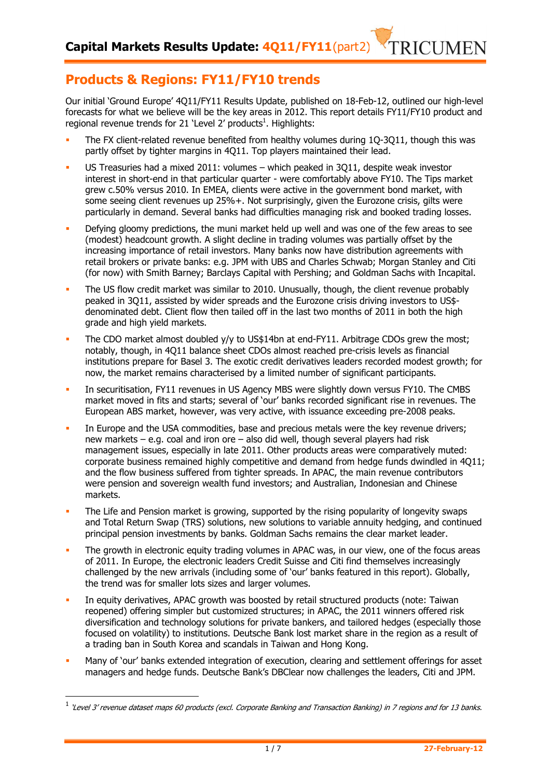Our initial 'Ground Europe' 4Q11/FY11 Results Update, published on 18-Feb-12, outlined our high-level forecasts for what we believe will be the key areas in 2012. This report details FY11/FY10 product and regional revenue trends for 21 'Level 2' products<sup>1</sup>. Highlights:

- The FX client-related revenue benefited from healthy volumes during 1Q-3Q11, though this was partly offset by tighter margins in 4Q11. Top players maintained their lead.
- US Treasuries had a mixed 2011: volumes which peaked in 3Q11, despite weak investor interest in short-end in that particular quarter - were comfortably above FY10. The Tips market grew c.50% versus 2010. In EMEA, clients were active in the government bond market, with some seeing client revenues up 25%+. Not surprisingly, given the Eurozone crisis, gilts were particularly in demand. Several banks had difficulties managing risk and booked trading losses.
- Defying gloomy predictions, the muni market held up well and was one of the few areas to see (modest) headcount growth. A slight decline in trading volumes was partially offset by the increasing importance of retail investors. Many banks now have distribution agreements with retail brokers or private banks: e.g. JPM with UBS and Charles Schwab; Morgan Stanley and Citi (for now) with Smith Barney; Barclays Capital with Pershing; and Goldman Sachs with Incapital.
- The US flow credit market was similar to 2010. Unusually, though, the client revenue probably peaked in 3Q11, assisted by wider spreads and the Eurozone crisis driving investors to US\$ denominated debt. Client flow then tailed off in the last two months of 2011 in both the high grade and high yield markets.
- The CDO market almost doubled y/y to US\$14bn at end-FY11. Arbitrage CDOs grew the most; notably, though, in 4Q11 balance sheet CDOs almost reached pre-crisis levels as financial institutions prepare for Basel 3. The exotic credit derivatives leaders recorded modest growth; for now, the market remains characterised by a limited number of significant participants.
- In securitisation, FY11 revenues in US Agency MBS were slightly down versus FY10. The CMBS market moved in fits and starts; several of 'our' banks recorded significant rise in revenues. The European ABS market, however, was very active, with issuance exceeding pre-2008 peaks.
- In Europe and the USA commodities, base and precious metals were the key revenue drivers; new markets – e.g. coal and iron ore – also did well, though several players had risk management issues, especially in late 2011. Other products areas were comparatively muted: corporate business remained highly competitive and demand from hedge funds dwindled in 4Q11; and the flow business suffered from tighter spreads. In APAC, the main revenue contributors were pension and sovereign wealth fund investors; and Australian, Indonesian and Chinese markets.
- The Life and Pension market is growing, supported by the rising popularity of longevity swaps and Total Return Swap (TRS) solutions, new solutions to variable annuity hedging, and continued principal pension investments by banks. Goldman Sachs remains the clear market leader.
- The growth in electronic equity trading volumes in APAC was, in our view, one of the focus areas of 2011. In Europe, the electronic leaders Credit Suisse and Citi find themselves increasingly challenged by the new arrivals (including some of 'our' banks featured in this report). Globally, the trend was for smaller lots sizes and larger volumes.
- In equity derivatives, APAC growth was boosted by retail structured products (note: Taiwan reopened) offering simpler but customized structures; in APAC, the 2011 winners offered risk diversification and technology solutions for private bankers, and tailored hedges (especially those focused on volatility) to institutions. Deutsche Bank lost market share in the region as a result of a trading ban in South Korea and scandals in Taiwan and Hong Kong.
- Many of 'our' banks extended integration of execution, clearing and settlement offerings for asset managers and hedge funds. Deutsche Bank's DBClear now challenges the leaders, Citi and JPM.

 $\overline{a}$ 

**RICIMEN** 

<sup>1</sup> 'Level 3' revenue dataset maps 60 products (excl. Corporate Banking and Transaction Banking) in 7 regions and for 13 banks.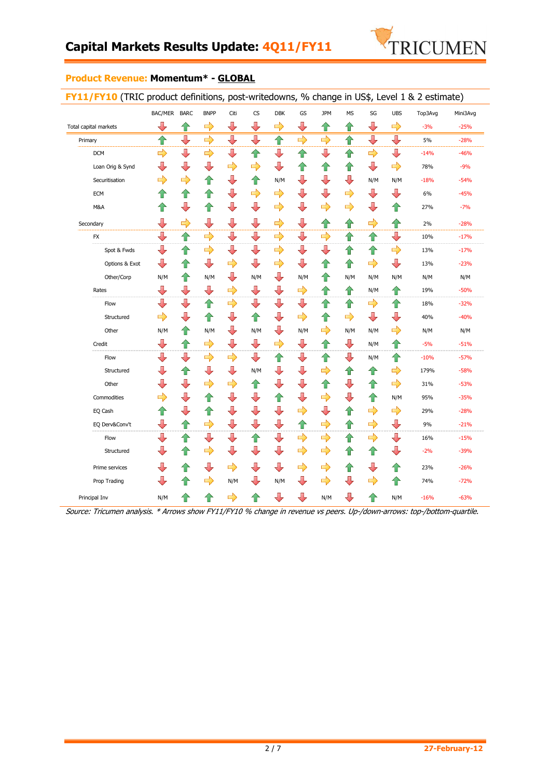

## **Product Revenue: Momentum\* - GLOBAL**

|                       | BAC/MER BARC  |                         | <b>BNPP</b>             | Citi                    | $\mathsf{CS}\phantom{0}$ | <b>DBK</b>              | GS                       | <b>JPM</b>              | <b>MS</b>                | SG            | <b>UBS</b>              | Top3Avg | Mini3Avg |
|-----------------------|---------------|-------------------------|-------------------------|-------------------------|--------------------------|-------------------------|--------------------------|-------------------------|--------------------------|---------------|-------------------------|---------|----------|
|                       |               |                         |                         | $\overline{\mathbb{U}}$ | ⇩                        |                         | ⇩                        |                         |                          | J             |                         |         |          |
| Total capital markets | ⇩             | ⇧                       | $\Rightarrow$           |                         |                          | $\Rightarrow$           | $\Rightarrow$            | 合                       | 合                        |               | $\Rightarrow$           | $-3%$   | $-25%$   |
| Primary               | ⇧             | $\overline{\mathbb{U}}$ | $\Rightarrow$           | $\overline{\bigcup}$    | $\overline{\mathbb{P}}$  | $\curvearrowleft$       |                          | $\ddot{\rightarrow}$    | 合                        | ⇩             | $\overline{\mathbb{L}}$ | 5%      | $-28%$   |
| <b>DCM</b>            | $\Rightarrow$ | ⇩                       | $\Rightarrow$           | ┺                       | 企                        | ⇩                       | ⇑                        | ⇩                       | ⇧                        | $\Rightarrow$ | ⇩                       | $-14%$  | $-46%$   |
| Loan Orig & Synd      | ⇩             | ⇩                       | ⇩                       | $\Rightarrow$           | $\Rightarrow$            | $\overline{\mathbb{Q}}$ | 企                        | ⇑                       | ⇑                        | ⇩             | $\Rightarrow$           | 78%     | $-9%$    |
| Securitisation        | $\Rightarrow$ | $\Rightarrow$           | 企                       | $\overline{\mathbb{R}}$ | 企                        | N/M                     | ┺                        | ⇩                       | ┺                        | N/M           | N/M                     | -18%    | $-54%$   |
| <b>ECM</b>            | ⇧             | ⇧                       | 合                       | ⇩                       | $\Rightarrow$            | $\Rightarrow$           | ⇩                        | ⇩                       | $\Rightarrow$            | ⇩             | ┺                       | 6%      | $-45%$   |
| M&A                   | ⇑             | $\overline{\mathbb{Q}}$ | ⇑                       | $\overline{\mathbb{R}}$ | ╄                        | $\Rightarrow$           | ╄                        | $\Rightarrow$           | $\Rightarrow$            | ⇩             | ⇧                       | 27%     | $-7%$    |
| Secondary             | ⇩             | $\Rightarrow$           | ⇩                       | ⇩                       | ⊕                        | $\Rightarrow$           | ⇩                        | ⇧                       | ⇑                        | $\Rightarrow$ | ⇑                       | 2%      | $-28%$   |
| <b>FX</b>             | ⇩             | 仐                       | $\Rightarrow$           | ⇩                       | ⇩                        | $\Rightarrow$           | $\overline{\phantom{a}}$ | $\Rightarrow$           | 合                        | ⇧             | $\overline{\mathbb{L}}$ | 10%     | $-17%$   |
| Spot & Fwds           | ⇩             | ⇑                       | $\Rightarrow$           | ⇩                       | ⇩                        | $\Rightarrow$           | ┺                        | ⇩                       | ⇧                        | ⇑             | $\Rightarrow$           | 13%     | $-17%$   |
| Options & Exot        | ⇩             | ⇑                       | ⇩                       | $\Rightarrow$           | ╄                        | $\Rightarrow$           | ┺                        | ⇧                       | 合                        | $\Rightarrow$ | $\overline{\mathbb{L}}$ | 13%     | $-23%$   |
| Other/Corp            | N/M           | ⇧                       | N/M                     | ┺                       | N/M                      | ⊕                       | N/M                      | ⇧                       | N/M                      | N/M           | N/M                     | N/M     | N/M      |
| Rates                 | ┺             | $\overline{\mathbb{L}}$ | $\overline{\mathbb{L}}$ | $\Rightarrow$           | ┺                        | ⇩                       | $\Rightarrow$            | ⇧                       | ⇧                        | N/M           | ⇧                       | 19%     | $-50%$   |
| Flow                  | ⊕             | ⇩                       | ⇑                       | $\Rightarrow$           | ┺                        | ⇩                       | ⇩                        | ⇧                       | 仐                        | $\Rightarrow$ | ⇧                       | 18%     | $-32%$   |
| Structured            | $\Rightarrow$ | $\overline{\mathbb{U}}$ | 企                       | ⊕                       | 个                        | $\overline{\mathbb{R}}$ | $\Rightarrow$            | ⇧                       | $\Rightarrow$            | ⇩             | $\overline{\mathbb{L}}$ | 40%     | $-40%$   |
| Other                 | N/M           | ⇑                       | N/M                     | ┺                       | N/M                      | ⇩                       | N/M                      | $\Rightarrow$           | N/M                      | N/M           | $\Rightarrow$           | N/M     | N/M      |
| Credit                | ⇩             | ⇑                       | ➾                       | ┺                       | ⇩                        | $\Rightarrow$           | ⊕                        | ⇑                       | ┺                        | N/M           | ⇧                       | $-5%$   | $-51%$   |
| Flow                  | ⇩             | ⇩                       | $\Rightarrow$           | $\Rightarrow$           | ╄                        | ⇑                       | ╄                        | ⇧                       | $\overline{\phantom{a}}$ | N/M           | ⇧                       | $-10%$  | $-57%$   |
| Structured            | ⇩             | ⇧                       | ⇩                       | ⇩                       | N/M                      | $\overline{\mathbb{Q}}$ | ⇩                        | $\Rightarrow$           | ⇧                        | ⇧             | $\Rightarrow$           | 179%    | $-58%$   |
| Other                 | ⇩             | $\overline{\mathbb{U}}$ | $\Rightarrow$           | $\Rightarrow$           | ⇧                        | $\overline{\mathbb{R}}$ | ╄                        | ⇧                       | ⇩                        | ⇧             | $\Rightarrow$           | 31%     | $-53%$   |
| Commodities           | $\Rightarrow$ | ⇩                       | 企                       | ┺                       | $\overline{\mathbb{R}}$  | ⇧                       | ┺                        | $\Rightarrow$           | ⇩                        | ⇑             | N/M                     | 95%     | $-35%$   |
| EQ Cash               | ⇧             | $\overline{\mathbb{U}}$ | ⇧                       | ⊕                       | ⊕                        | $\overline{\mathbb{R}}$ | $\Rightarrow$            | $\overline{\mathbb{Q}}$ | ⇧                        | $\Rightarrow$ | $\Rightarrow$           | 29%     | $-28%$   |
| EQ Derv&Conv't        | ⇩             | ⇧                       | $\Rightarrow$           | ┺                       | ┺                        | ⇩                       | 仐                        | $\Rightarrow$           | 合                        | $\Rightarrow$ | ⊕                       | 9%      | $-21%$   |
| Flow                  | ⇩             | ⇑                       | ⇩                       | ┺                       | 个                        | $\overline{\mathbb{Q}}$ | $\Rightarrow$            | $\Rightarrow$           | ⇧                        | $\Rightarrow$ | $\overline{\mathbf{r}}$ | 16%     | $-15%$   |
| Structured            | ⇩             | ⇑                       | $\Rightarrow$           | $\overline{\mathbb{R}}$ | $\overline{\mathbb{R}}$  | $\overline{\mathbb{R}}$ | $\Rightarrow$            | $\Rightarrow$           | ⇧                        | ⇧             | ┺                       | $-2%$   | $-39%$   |
| Prime services        | ⇩             | ⇧                       | ⇩                       | $\Rightarrow$           | ⇩                        | ⇩                       | $\Rightarrow$            | $\Rightarrow$           | ⇧                        | ⇩             | ⇧                       | 23%     | $-26%$   |
| Prop Trading          | ⊕             | ⇑                       | $\Rightarrow$           | N/M                     | ⊕                        | N/M                     | ⊕                        | $\Rightarrow$           | ┺                        | $\Rightarrow$ | ⇧                       | 74%     | $-72%$   |
| Principal Inv         | N/M           | ⇑                       | ⇑                       | $\Rightarrow$           | ⇑                        | ⇩                       | ⇩                        | N/M                     | ⇩                        | ⇑             | N/M                     | $-16%$  | $-63%$   |

Source: Tricumen analysis. \* Arrows show FY11/FY10 % change in revenue vs peers. Up-/down-arrows: top-/bottom-quartile.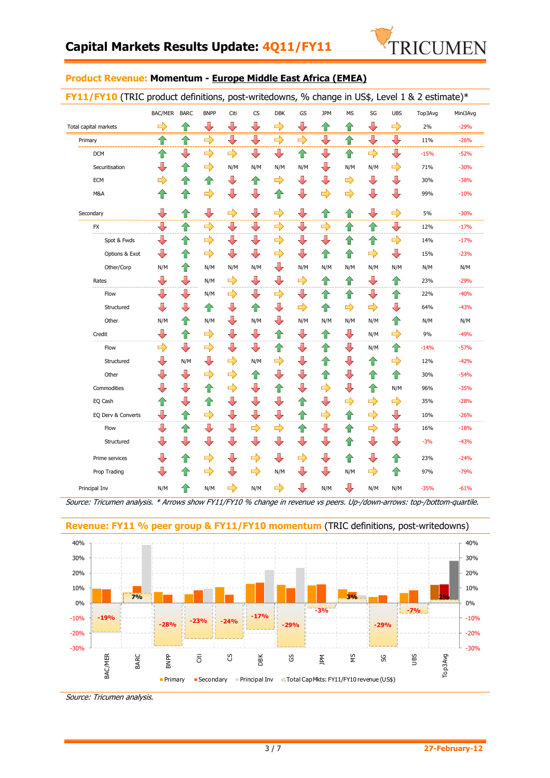

#### **Product Revenue: Momentum - Europe Middle East Africa (EMEA)**

|                       | BAC/MER BARC  |                         | <b>BNPP</b>   | Citi                    | $\mathsf{CS}\phantom{0}$ | <b>DBK</b>              | GS            | <b>JPM</b>    | <b>MS</b>     | SG            | <b>UBS</b>              | Top3Avg | Mini3Avg |
|-----------------------|---------------|-------------------------|---------------|-------------------------|--------------------------|-------------------------|---------------|---------------|---------------|---------------|-------------------------|---------|----------|
| Total capital markets | $\Rightarrow$ | ⇮                       | ⇩             | ⇩                       | ⇩                        | $\Rightarrow$           | ⇩             | ⇑             | ⇑             | J             | $\Rightarrow$           | 2%      | $-29%$   |
| Primary               | ⇑             | ⇑                       | $\Rightarrow$ | $\overline{\bigcup}$    | ⇩                        | $\Rightarrow$           | $\Rightarrow$ | ⇩             | ⇧             | ⇩             | $\overline{\mathbb{L}}$ | 11%     | $-26%$   |
| <b>DCM</b>            | ⇑             | ⊕                       | $\Rightarrow$ | $\Rightarrow$           | ⊕                        | ⊕                       | ⇑             | ⊕             | ⇑             | $\Rightarrow$ | ┺                       | $-15%$  | $-52%$   |
| Securitisation        | ⇩             | ⇑                       | $\Rightarrow$ | N/M                     | N/M                      | N/M                     | N/M           | ⇩             | N/M           | N/M           | $\Rightarrow$           | 71%     | $-30%$   |
| <b>ECM</b>            | $\Rightarrow$ | €                       | 企             | ┺                       | ⇧                        | $\Rightarrow$           | ╄             | ⇩             | $\Rightarrow$ | ⇩             | $\overline{\mathbf{r}}$ | 30%     | $-38%$   |
| M&A                   | ⇧             | ⇧                       | $\Rightarrow$ | ┺                       | ⇩                        | ⇧                       | ┺             | $\Rightarrow$ | $\Rightarrow$ | ⇩             | ⇩                       | 99%     | $-10%$   |
| Secondary             | ⇩             | ⇧                       | ┺             | $\Rightarrow$           | ⇩                        | $\Rightarrow$           | ╄             | ⇧             | 企             | ⇩             | $\Rightarrow$           | 5%      | $-30%$   |
| FX                    | ⇩             | ⇑                       | $\Rightarrow$ | ⇩                       | ⇩                        | $\Rightarrow$           | ⇩             | $\Rightarrow$ | ⇧             | ⇧             | ┺                       | 12%     | $-17%$   |
| Spot & Fwds           | ⇩             | ⇧                       | $\Rightarrow$ | ┺                       | ┺                        | $\Rightarrow$           | ┺             | ⇩             | ⇑             | ⇧             | $\Rightarrow$           | 14%     | $-17%$   |
| Options & Exot        | ⇩             | ⇧                       | $\Rightarrow$ | ⇩                       | ⊕                        | $\Rightarrow$           | ⇩             | ⇧             | 合             | $\Rightarrow$ | $\overline{\mathbf{u}}$ | 15%     | $-23%$   |
| Other/Corp            | N/M           | ⇑                       | N/M           | N/M                     | N/M                      | ⇩                       | N/M           | N/M           | N/M           | N/M           | N/M                     | N/M     | N/M      |
| Rates                 | ⊕             | ⇩                       | N/M           | $\Rightarrow$           | ⊕                        | ⇩                       | $\Rightarrow$ | ⇧             | ⇧             | ⇩             | ⇧                       | 23%     | $-29%$   |
| Flow                  | ⇩             | ⇩                       | N/M           | $\Rightarrow$           | ⇩                        | $\Rightarrow$           | ⇩             | ⇑             | ⇧             | ⇩             | ⇧                       | 22%     | $-40%$   |
| Structured            | ⊕             | $\overline{\mathbb{U}}$ | ⇧             | ╄                       | ⇧                        | $\overline{\mathbb{R}}$ | $\Rightarrow$ | 企             | $\Rightarrow$ | $\Rightarrow$ | ⊕                       | 64%     | $-43%$   |
| Other                 | N/M           | ⇑                       | N/M           | ⇩                       | N/M                      | ⇩                       | N/M           | N/M           | N/M           | N/M           | ⇑                       | N/M     | N/M      |
| Credit                | ⇩             | 合                       | $\Rightarrow$ | ⇩                       | ⇩                        | ⇧                       | ⇩             | ⇑             | ⊕             | N/M           | $\Rightarrow$           | 9%      | $-49%$   |
| Flow                  | $\Rightarrow$ | ⇩                       | $\Rightarrow$ | ╄                       | ╄                        | ⇧                       | ╄             | ⇧             | ┺             | N/M           | ⇧                       | $-14%$  | $-57%$   |
| Structured            | ⇩             | N/M                     | ⇩             | $\Rightarrow$           | N/M                      | $\Rightarrow$           | ╄             | 合             | ┺             | ⇧             | $\Rightarrow$           | 12%     | $-42%$   |
| Other                 | ⇩             | ⊕                       | $\Rightarrow$ | $\Rightarrow$           | 企                        | ⇩                       | ╄             | ⇧             | ┺             | ⇑             | 企                       | 30%     | $-54%$   |
| Commodities           | ⇩             | ⇩                       | 仐             | $\Rightarrow$           | ┺                        | ⇧                       | ⇩             | $\Rightarrow$ | ⇩             | ⇧             | N/M                     | 96%     | $-35%$   |
| EQ Cash               | ⇧             | ⇩                       | ⇑             | ┺                       | ┺                        | ⇩                       | 合             | ⇩             | $\Rightarrow$ | $\Rightarrow$ | $\Rightarrow$           | 35%     | $-28%$   |
| EQ Derv & Converts    | ⊕             | 企                       | $\Rightarrow$ | ╄                       | ⇩                        | ⇩                       | 企             | $\Rightarrow$ | 企             | $\Rightarrow$ | ┺                       | 10%     | $-26%$   |
| Flow                  | ┺             | ⇑                       | ⇩             | ⊕                       | $\Rightarrow$            | $\Rightarrow$           | 个             | ⇩             | ⇧             | $\Rightarrow$ | $\overline{\mathbf{u}}$ | 16%     | $-18%$   |
| Structured            | ⇩             | ⇩                       | ⇩             | $\overline{\mathbb{R}}$ | $\overline{\mathbb{R}}$  | $\overline{\mathbb{Q}}$ | ⇩             | ⇩             | ⇧             | ⇩             | ┺                       | $-3%$   | $-43%$   |
| Prime services        | ⇩             | ⇮                       | $\Rightarrow$ | ╄                       | $\Rightarrow$            | ⇩                       | $\Rightarrow$ | ⇩             | ⇧             | ⇩             | ⇧                       | 23%     | $-24%$   |
| Prop Trading          | ⇩             | ⇑                       | $\Rightarrow$ | ╄                       | $\Rightarrow$            | N/M                     | ╄             | ⊕             | N/M           | $\Rightarrow$ | ⇧                       | 97%     | $-79%$   |
| Principal Inv         | N/M           | ⇑                       | N/M           | $\Rightarrow$           | N/M                      | $\Rightarrow$           | ⇩             | N/M           | ┺             | N/M           | N/M                     | $-35%$  | $-61%$   |
|                       |               |                         |               |                         |                          |                         |               |               |               |               |                         |         |          |

Source: Tricumen analysis. \* Arrows show FY11/FY10 % change in revenue vs peers. Up-/down-arrows: top-/bottom-quartile.



### **Revenue: FY11 % peer group & FY11/FY10 momentum** (TRIC definitions, post-writedowns)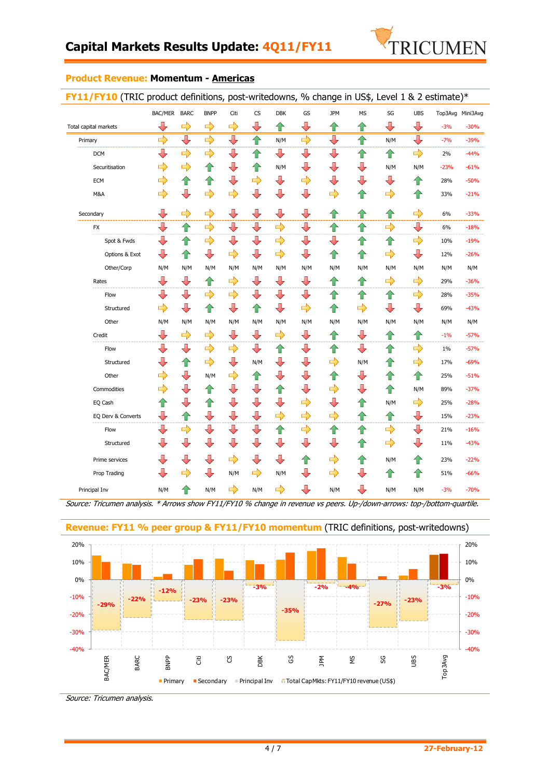

#### **Product Revenue: Momentum - Americas**

| FY11/FY10 (TRIC product definitions, post-writedowns, % change in US\$, Level 1 & 2 estimate)* |                         |                         |               |                         |                         |                         |                         |               |               |               |                          |                  |        |
|------------------------------------------------------------------------------------------------|-------------------------|-------------------------|---------------|-------------------------|-------------------------|-------------------------|-------------------------|---------------|---------------|---------------|--------------------------|------------------|--------|
|                                                                                                | BAC/MER BARC            |                         | <b>BNPP</b>   | Citi                    | <b>CS</b>               | <b>DBK</b>              | GS                      | <b>JPM</b>    | <b>MS</b>     | SG            | <b>UBS</b>               | Top3Avg Mini3Avg |        |
| Total capital markets                                                                          | ⇩                       | $\Rightarrow$           | $\Rightarrow$ | $\Rightarrow$           | ⇩                       | ⇑                       | ⇩                       | ⇑             | ⇮             | ⇩             | ⊕                        | $-3%$            | $-30%$ |
| Primary                                                                                        | $\Rightarrow$           | $\overline{\mathbb{J}}$ | $\Rightarrow$ | ⇩                       | 仐                       | N/M                     | $\Rightarrow$           | ⇩             | 企             | N/M           | $\overline{\phantom{a}}$ | $-7%$            | $-39%$ |
| <b>DCM</b>                                                                                     | ⇩                       | $\Rightarrow$           | $\Rightarrow$ | ┺                       | 仐                       | ⊕                       | ⇩                       | ⇩             | ⇑             | ⇧             | $\Rightarrow$            | 2%               | $-44%$ |
| Securitisation                                                                                 | $\Rightarrow$           | $\Rightarrow$           | 合             | ┺                       | 合                       | N/M                     | ⇩                       | ⇩             | ⇩             | N/M           | N/M                      | $-23%$           | $-61%$ |
| <b>ECM</b>                                                                                     | $\Rightarrow$           | 企                       | ⇑             | ⊕                       | $\Rightarrow$           | ╄                       | $\Rightarrow$           | ⇩             | ⇩             | ⇩             | ⇧                        | 28%              | $-50%$ |
| M&A                                                                                            | $\Rightarrow$           | $\overline{\mathbb{U}}$ | $\Rightarrow$ | $\Rightarrow$           | ⊕                       | ⊕                       | $\overline{\mathbb{U}}$ | $\Rightarrow$ | ⇧             | $\Rightarrow$ | ⇧                        | 33%              | $-21%$ |
| Secondary                                                                                      | ⇩                       | $\Rightarrow$           | $\Rightarrow$ | ╄                       | ⊕                       | $\overline{\mathbb{L}}$ | $\overline{\mathbf{r}}$ | 企             | 企             | 企             | $\Rightarrow$            | 6%               | $-33%$ |
| FX                                                                                             | ⇩                       | ⇧                       | $\Rightarrow$ | ⊕                       | ⇩                       | $\Rightarrow$           | $\overline{\mathbf{r}}$ | 企             | 企             | $\Rightarrow$ | $\overline{\mathbf{r}}$  | 6%               | $-18%$ |
| Spot & Fwds                                                                                    | ⇩                       | ⇧                       | $\Rightarrow$ | ⇩                       | ⇩                       | $\Rightarrow$           | ⇩                       | ⇩             | ⇑             | ⇑             | $\Rightarrow$            | 10%              | $-19%$ |
| Options & Exot                                                                                 | U                       | ⇧                       | ⇩             | $\Rightarrow$           | ⇩                       | $\Rightarrow$           | $\overline{\mathbb{U}}$ | 企             | ⇧             | $\Rightarrow$ | $\overline{\mathbb{L}}$  | 12%              | $-26%$ |
| Other/Corp                                                                                     | N/M                     | N/M                     | N/M           | N/M                     | N/M                     | N/M                     | N/M                     | N/M           | N/M           | N/M           | N/M                      | N/M              | N/M    |
| Rates                                                                                          | ⇩                       | $\overline{\P}$         | ⇑             | $\Rightarrow$           | ⊕                       | ⊕                       | $\overline{\P}$         | ⇑             | ⇑             | $\Rightarrow$ | $\Rightarrow$            | 29%              | $-36%$ |
| Flow                                                                                           | ⇩                       | ⇩                       | $\Rightarrow$ | $\Rightarrow$           | ⇩                       | ┺                       | ⇩                       | ⇑             | ⇑             | ⇑             | $\Rightarrow$            | 28%              | $-35%$ |
| Structured                                                                                     | $\Rightarrow$           | $\overline{\mathbb{U}}$ | ⇑             | ⇩                       | ⇧                       | ⇩                       | $\Rightarrow$           | 仐             | $\Rightarrow$ | ⇩             | ⊕                        | 69%              | $-43%$ |
| Other                                                                                          | N/M                     | N/M                     | N/M           | N/M                     | N/M                     | N/M                     | N/M                     | N/M           | N/M           | N/M           | N/M                      | N/M              | N/M    |
| Credit                                                                                         | ⇩                       | $\Rightarrow$           | $\Rightarrow$ | ┺                       | ⇩                       | $\Rightarrow$           | ⇩                       | ⇑             | ⊕             | ⇑             | ⇑                        | $-1%$            | $-57%$ |
| Flow                                                                                           | ⇩                       | ⊕                       | $\Rightarrow$ | $\Rightarrow$           | ⇩                       | 企                       | ⇩                       | 企             | ⊕             | ⇑             | $\Rightarrow$            | 1%               | $-57%$ |
| Structured                                                                                     | $\overline{\mathbb{R}}$ | 企                       | $\Rightarrow$ | ⊕                       | N/M                     | ╄                       | $\overline{\P}$         | $\Rightarrow$ | N/M           | ⇧             | $\Rightarrow$            | 17%              | $-69%$ |
| Other                                                                                          | $\Rightarrow$           | $\overline{\mathbf{r}}$ | N/M           | $\Rightarrow$           | 企                       | ╄                       | $\overline{\mathbb{Q}}$ | 企             | ⇩             | ⇧             | ⇧                        | 25%              | $-51%$ |
| Commodities                                                                                    | $\Rightarrow$           | $\overline{\mathbb{Q}}$ | 合             | ⊕                       | $\overline{\mathbb{R}}$ | 个                       | ⇩                       | $\Rightarrow$ | ⇩             | 企             | N/M                      | 89%              | $-37%$ |
| EQ Cash                                                                                        | ⇧                       | ⇩                       | ⇑             | $\overline{\mathbb{R}}$ | $\overline{\mathbb{R}}$ | ⊕                       | $\Rightarrow$           | ╄             | ⇑             | N/M           | $\Rightarrow$            | 25%              | $-28%$ |
| EQ Derv & Converts                                                                             | ⇩                       | 企                       | ⇩             | ┺                       | ⇩                       | $\Rightarrow$           | $\Rightarrow$           | $\Rightarrow$ | 企             | ⇧             | ⊕                        | 15%              | $-23%$ |
| Flow                                                                                           | ⇩                       | $\Rightarrow$           | ⇩             | ┺                       | ┺                       | 合                       | $\Rightarrow$           | 仐             | ⇑             | $\Rightarrow$ | ┺                        | 21%              | $-16%$ |
| Structured                                                                                     | ⇩                       | ⇩                       | ⇩             | ⇩                       | ⊕                       | ⊕                       | $\overline{\P}$         | ⇩             | ⇧             | $\Rightarrow$ | ┺                        | 11%              | $-43%$ |
| Prime services                                                                                 | ⇩                       | ⇩                       | ⇩             | $\Rightarrow$           | ⇩                       | ⇩                       | 企                       | $\Rightarrow$ | 合             | N/M           | ⇧                        | 23%              | $-22%$ |
| Prop Trading                                                                                   | ⇩                       | $\Rightarrow$           | ⇩             | N/M                     | $\Rightarrow$           | N/M                     | ⇩                       | $\Rightarrow$ | ⇩             | ⇧             | ⇑                        | 51%              | $-66%$ |
| Principal Inv                                                                                  | N/M                     | 仐                       | N/M           | $\Rightarrow$           | N/M                     | $\Rightarrow$           | $\overline{\mathbb{U}}$ | N/M           | ⇩             | N/M           | N/M                      | $-3%$            | $-70%$ |
|                                                                                                |                         |                         |               |                         |                         |                         |                         |               |               |               |                          |                  |        |

Source: Tricumen analysis. \* Arrows show FY11/FY10 % change in revenue vs peers. Up-/down-arrows: top-/bottom-quartile.



**Revenue: FY11 % peer group & FY11/FY10 momentum** (TRIC definitions, post-writedowns)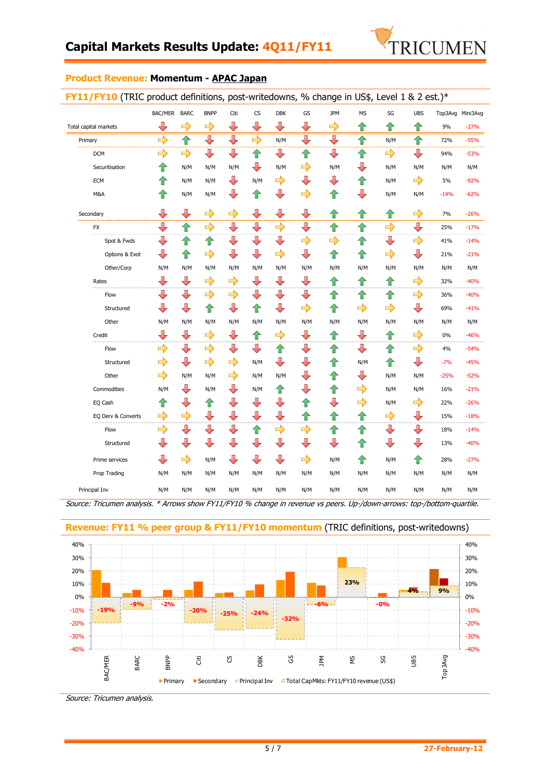

#### **Product Revenue: Momentum - APAC Japan**

| <b>FY11/FY10</b> (TRIC product definitions, post-writedowns, % change in US\$, Level 1 & 2 est.)* |
|---------------------------------------------------------------------------------------------------|
|---------------------------------------------------------------------------------------------------|

|                       | BAC/MER       | <b>BARC</b>             | <b>BNPP</b>             | Citi          | <b>CS</b>     | <b>DBK</b>    | GS                      | <b>JPM</b>    | <b>MS</b>          | SG            | <b>UBS</b>              |        | Top3Avg Mini3Avg |
|-----------------------|---------------|-------------------------|-------------------------|---------------|---------------|---------------|-------------------------|---------------|--------------------|---------------|-------------------------|--------|------------------|
| Total capital markets | ⇩             | $\Rightarrow$           | $\Rightarrow$           | ⇩             | ⇩             | ⊕             | ⊕                       | $\Rightarrow$ | ⇑                  | ⇑             | ⇧                       | 9%     | $-27%$           |
| Primary               | $\Rightarrow$ | $\hat{\mathbf{r}}$      | ⇩                       | J             | $\Rightarrow$ | N/M           | ⇩                       | ⇩             | $\hat{\mathbf{r}}$ | N/M           | ⇑                       | 72%    | $-55%$           |
| <b>DCM</b>            | $\Rightarrow$ | $\Rightarrow$           | ⊕                       | ⇩             | ⇧             | ⊕             | ⇑                       | ⇩             | 仐                  | $\Rightarrow$ | ⊕                       | 94%    | $-53%$           |
| Securitisation        | ⇑             | N/M                     | N/M                     | N/M           | ⇩             | N/M           | $\Rightarrow$           | N/M           | J,                 | N/M           | N/M                     | N/M    | N/M              |
| <b>ECM</b>            | ⇧             | N/M                     | N/M                     | ⇩             | N/M           | $\Rightarrow$ | ⊕                       | ⇩             | ⇑                  | N/M           | $\Rightarrow$           | 5%     | $-92%$           |
| M&A                   | ⇑             | N/M                     | N/M                     | ⇩             | ⇧             | ╄             | $\Rightarrow$           | ⇧             | ⇩                  | N/M           | N/M                     | $-14%$ | $-62%$           |
| Secondary             | ⇩             | $\overline{\mathbb{U}}$ | $\Rightarrow$           | $\Rightarrow$ | ⇩             | ⇩             | $\overline{\mathbb{U}}$ | 仐             | ⇧                  | ⇑             | $\Rightarrow$           | 7%     | $-26%$           |
| <b>FX</b>             | ⇩             | ⇑                       | $\Rightarrow$           | ⇩             | ⇩             | $\Rightarrow$ | ┺                       | ⇑             | ⇑                  | $\Rightarrow$ | ┺                       | 25%    | $-17%$           |
| Spot & Fwds           | ⇩             | ⇑                       | ⇧                       | ⇩             | ⇩             | ┺             | $\Rightarrow$           | $\Rightarrow$ | ⇑                  | ⇩             | $\Rightarrow$           | 41%    | $-14%$           |
| Options & Exot        | ⇩             | ⇑                       | $\Rightarrow$           | ⇩             | ⇩             | $\Rightarrow$ | $\overline{\mathbb{U}}$ | ⇧             | ⇑                  | $\Rightarrow$ | $\overline{\mathbb{L}}$ | 21%    | $-21%$           |
| Other/Corp            | N/M           | N/M                     | N/M                     | N/M           | N/M           | N/M           | N/M                     | N/M           | N/M                | N/M           | N/M                     | N/M    | N/M              |
| Rates                 | ⇩             | ⊕                       | $\Rightarrow$           | $\Rightarrow$ | ⇩             | ⊕             | ┺                       | ⇧             | ⇧                  | ⇑             | $\Rightarrow$           | 32%    | $-40%$           |
| Flow                  | J             | ⇩                       | $\Rightarrow$           | $\Rightarrow$ | ⇩             | ⇩             | ⇩                       | ⇧             | ⇧                  | ⇑             | $\Rightarrow$           | 36%    | $-40%$           |
| Structured            | ⊕             | ⇩                       | 仐                       | ⇩             | ⇧             | ⇩             | $\Rightarrow$           | ⇑             | $\Rightarrow$      | $\Rightarrow$ | ⊕                       | 69%    | $-41%$           |
| Other                 | N/M           | N/M                     | N/M                     | N/M           | N/M           | N/M           | N/M                     | N/M           | N/M                | N/M           | N/M                     | N/M    | N/M              |
| Credit                | ⇩             | ⊕                       | $\Rightarrow$           | ⇩             | ⇧             | $\Rightarrow$ | ⊕                       | ⇑             | ⇩                  | ⇑             | $\Rightarrow$           | 0%     | $-46%$           |
| Flow                  | $\Rightarrow$ | ⊕                       | $\Rightarrow$           | ⇩             | ⇩             | ⇧             | ┺                       | ⇑             | ⇩                  | 仐             | $\Rightarrow$           | 4%     | $-54%$           |
| Structured            | $\Rightarrow$ | ⊕                       | $\Rightarrow$           | $\Rightarrow$ | N/M           | ┺             | U                       | ⇑             | N/M                | ⇑             | $\overline{\mathbb{L}}$ | $-7%$  | $-45%$           |
| Other                 | $\Rightarrow$ | N/M                     | N/M                     | $\Rightarrow$ | N/M           | N/M           | ⇩                       | ⇧             | ⇩                  | N/M           | N/M                     | $-25%$ | $-52%$           |
| Commodities           | N/M           | ⊕                       | N/M                     | ⇩             | N/M           | ⇧             | ⇩                       | ⇑             | $\Rightarrow$      | N/M           | N/M                     | 16%    | $-21%$           |
| EQ Cash               | ⇑             | ⇩                       | ⇑                       | ⇩             | ⇩             | ╄             | ⇑                       | J             | $\Rightarrow$      | N/M           | $\Rightarrow$           | 22%    | $-26%$           |
| EQ Derv & Converts    | $\Rightarrow$ | $\Rightarrow$           | $\overline{\mathbb{U}}$ | ⇩             | ⇩             | ⇩             | ⇑                       | ⇑             | ⇑                  | $\Rightarrow$ | ⊕                       | 15%    | $-18%$           |
| Flow                  | $\Rightarrow$ | ⊕                       | ⇩                       | ⇩             | 企             | $\Rightarrow$ | $\Rightarrow$           | ⇧             | ⇧                  | ⇩             | ⊕                       | 18%    | $-14%$           |
| Structured            | ⇩             | ⇩                       | ⇩                       | ⇩             | ⇩             | ⇩             | ⇩                       | ⇩             | ⇧                  | ⇩             | ⇩                       | 13%    | $-40%$           |
| Prime services        | ⇩             | $\Rightarrow$           | N/M                     | ⇩             | ⇩             | ⊕             | $\Rightarrow$           | N/M           | 仐                  | N/M           | ⇑                       | 28%    | $-27%$           |
| Prop Trading          | N/M           | N/M                     | N/M                     | N/M           | N/M           | N/M           | N/M                     | N/M           | N/M                | N/M           | N/M                     | N/M    | N/M              |
| Principal Inv         | N/M           | N/M                     | N/M                     | N/M           | N/M           | N/M           | N/M                     | N/M           | N/M                | N/M           | N/M                     | N/M    | N/M              |

Source: Tricumen analysis. \* Arrows show FY11/FY10 % change in revenue vs peers. Up-/down-arrows: top-/bottom-quartile.



**Revenue: FY11 % peer group & FY11/FY10 momentum** (TRIC definitions, post-writedowns)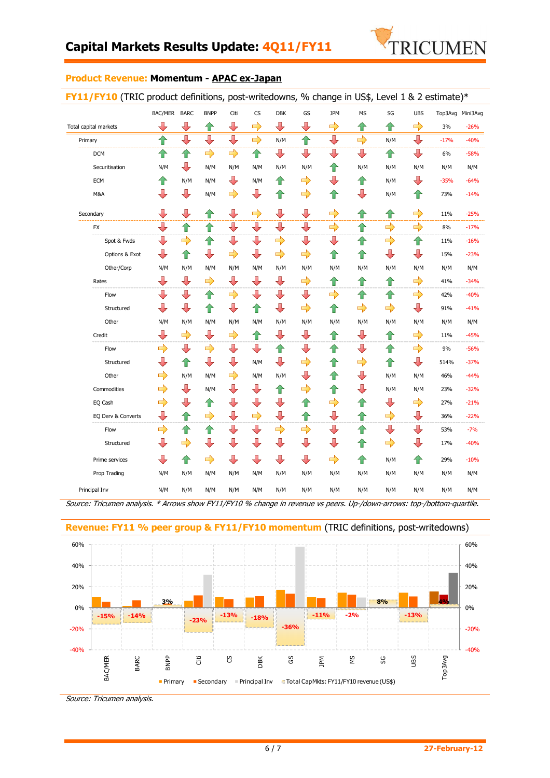

#### **Product Revenue: Momentum - APAC ex-Japan**

|                       | BAC/MER BARC            |                         | <b>BNPP</b>             | Citi                     | CS                      | <b>DBK</b>               | GS                      | <b>JPM</b>              | <b>MS</b>     | SG            | <b>UBS</b>              | Top3Avg Mini3Avg |        |
|-----------------------|-------------------------|-------------------------|-------------------------|--------------------------|-------------------------|--------------------------|-------------------------|-------------------------|---------------|---------------|-------------------------|------------------|--------|
| Total capital markets | ⇩                       | ⇩                       | ⇧                       | ⇩                        | $\Rightarrow$           | ⊕                        | ⇩                       | $\Rightarrow$           | ⇑             | ⇧             | $\Rightarrow$           | 3%               | $-26%$ |
| Primary               | 仐                       | $\overline{\mathbb{J}}$ | ⇩                       | ⇩                        | $\Rightarrow$           | N/M                      | ⇧                       | $\overline{\mathbb{P}}$ | $\Rightarrow$ | N/M           | $\overline{\mathbf{r}}$ | $-17%$           | $-40%$ |
| <b>DCM</b>            | ⇧                       | ⇧                       | $\Rightarrow$           | $\Rightarrow$            | 合                       | ⇩                        | ⇩                       | ⇩                       | ⇩             | ⇑             | ⊕                       | 6%               | $-58%$ |
| Securitisation        | N/M                     | ⊕                       | N/M                     | N/M                      | N/M                     | N/M                      | N/M                     | ⇑                       | N/M           | N/M           | N/M                     | N/M              | N/M    |
| <b>ECM</b>            | ⇧                       | N/M                     | N/M                     | ⊕                        | N/M                     | ⇧                        | $\Rightarrow$           | ⇩                       | ⇧             | N/M           | ┺                       | $-35%$           | $-64%$ |
| M&A                   | ⇩                       | ⊕                       | N/M                     | $\Rightarrow$            | ┺                       | 企                        | $\Rightarrow$           | 企                       | ⇩             | N/M           | ⇑                       | 73%              | $-14%$ |
| Secondary             | $\overline{\mathbb{U}}$ | $\overline{\mathbb{L}}$ | ⇧                       | $\overline{\phantom{a}}$ | $\Rightarrow$           | $\overline{\phantom{a}}$ | $\overline{\mathbb{L}}$ | $\Rightarrow$           | ⇧             | 企             | $\Rightarrow$           | 11%              | $-25%$ |
| FX                    | ⇩                       | ⇧                       | ⇧                       | ⊕                        | $\overline{\mathbb{R}}$ | ┺                        | $\overline{\mathbb{U}}$ | $\Rightarrow$           | ⇧             | $\Rightarrow$ | $\Rightarrow$           | 8%               | $-17%$ |
| Spot & Fwds           | $\overline{\mathbb{U}}$ | $\Rightarrow$           | 企                       | ⊕                        | $\overline{\mathbb{R}}$ | $\Rightarrow$            | ⇩                       | ⇩                       | ⇧             | $\Rightarrow$ | ⇧                       | 11%              | $-16%$ |
| Options & Exot        | ⇩                       | ⇧                       | $\color{red} \bigoplus$ | $\Rightarrow$            | ⊕                       | $\Rightarrow$            | $\Rightarrow$           | ⇧                       | ⇧             | ⇩             | $\overline{\mathbb{L}}$ | 15%              | $-23%$ |
| Other/Corp            | N/M                     | N/M                     | N/M                     | N/M                      | N/M                     | N/M                      | N/M                     | N/M                     | N/M           | N/M           | N/M                     | N/M              | N/M    |
| Rates                 | ⇩                       | ⇩                       | $\Rightarrow$           | ⊕                        | ⇩                       | ⇩                        | $\Rightarrow$           | ⇑                       | ⇑             | ⇧             | $\Rightarrow$           | 41%              | $-34%$ |
| Flow                  | ⇩                       | ⇩                       | ⇧                       | $\Rightarrow$            | ⇩                       | ⇩                        | ⇩                       | $\Rightarrow$           | ⇑             | ⇧             | $\Rightarrow$           | 42%              | $-40%$ |
| Structured            | ⇩                       | ⇩                       | ⇑                       | ⊕                        | ⇧                       | ⇩                        | $\Rightarrow$           | ⇑                       | $\Rightarrow$ | $\Rightarrow$ | ⊕                       | 91%              | $-41%$ |
| Other                 | N/M                     | N/M                     | N/M                     | N/M                      | N/M                     | N/M                      | N/M                     | N/M                     | N/M           | N/M           | N/M                     | N/M              | N/M    |
| Credit                | ⇩                       | $\Rightarrow$           | ┺                       | $\Rightarrow$            | 仐                       | ⇩                        | ⇩                       | ⇧                       | ⇩             | ⇑             | $\Rightarrow$           | 11%              | $-45%$ |
| Flow                  | $\Rightarrow$           | ⇩                       | $\Rightarrow$           | $\overline{\mathbb{L}}$  | ┺                       | 企                        | ┺                       | ⇑                       | ⇩             | ⇑             | $\Rightarrow$           | 9%               | $-56%$ |
| Structured            | ⇩                       | ⇧                       | ⇩                       | ⊕                        | N/M                     | ┺                        | $\Rightarrow$           | ⇑                       | $\Rightarrow$ | ⇧             | $\overline{\mathbf{u}}$ | 514%             | $-37%$ |
| Other                 | $\Rightarrow$           | N/M                     | N/M                     | $\Rightarrow$            | N/M                     | N/M                      | ⇩                       | ⇑                       | ⇩             | N/M           | N/M                     | 46%              | $-44%$ |
| Commodities           | $\Rightarrow$           | ⇩                       | N/M                     | ⊕                        | $\overline{\mathbb{R}}$ | 企                        | $\Rightarrow$           | ⇧                       | ⇩             | N/M           | N/M                     | 23%              | $-32%$ |
| EQ Cash               | $\Rightarrow$           | $\overline{\mathbb{U}}$ | ⇧                       | $\overline{\mathbf{y}}$  | $\overline{\mathbb{R}}$ | $\overline{\P}$          | 合                       | $\Rightarrow$           | ⇧             | ⇩             | $\Rightarrow$           | 27%              | $-21%$ |
| EQ Derv & Converts    | ⇩                       | ⇧                       | $\Rightarrow$           | ⊕                        | $\Rightarrow$           | ⇩                        | 仐                       | ⇩                       | ⇑             | $\Rightarrow$ | ┺                       | 36%              | $-22%$ |
| Flow                  | $\Rightarrow$           | ⇧                       | 企                       | ⊕                        | ┺                       | $\Rightarrow$            | $\Rightarrow$           | ⇩                       | ⇑             | ⇩             | ┺                       | 53%              | $-7%$  |
| Structured            | ⇩                       | $\Rightarrow$           | $\overline{\P}$         | ⇩                        | ⇩                       | ┺                        | ⇩                       | ⇩                       | ⇑             | $\Rightarrow$ | ⊕                       | 17%              | $-40%$ |
| Prime services        | ⇩                       | ⇧                       | $\Rightarrow$           | ⊕                        | ⇩                       | ⊕                        | $\overline{\mathbb{U}}$ | $\Rightarrow$           | ⇑             | N/M           | ⇑                       | 29%              | $-10%$ |
| Prop Trading          | N/M                     | N/M                     | N/M                     | N/M                      | N/M                     | N/M                      | N/M                     | N/M                     | N/M           | N/M           | N/M                     | N/M              | N/M    |
| Principal Inv         | N/M                     | N/M                     | N/M                     | N/M                      | N/M                     | N/M                      | N/M                     | N/M                     | N/M           | N/M           | N/M                     | N/M              | N/M    |
|                       |                         |                         |                         |                          |                         |                          |                         |                         |               |               |                         |                  |        |

Source: Tricumen analysis. \* Arrows show FY11/FY10 % change in revenue vs peers. Up-/down-arrows: top-/bottom-quartile.



**Revenue: FY11 % peer group & FY11/FY10 momentum** (TRIC definitions, post-writedowns)